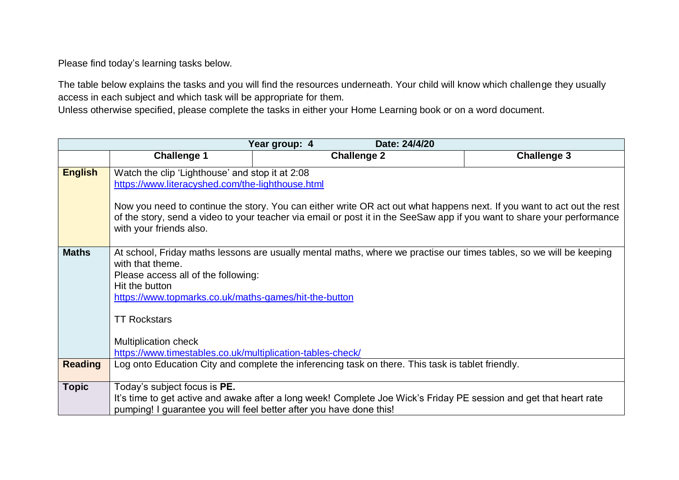Please find today's learning tasks below.

The table below explains the tasks and you will find the resources underneath. Your child will know which challenge they usually access in each subject and which task will be appropriate for them.

Unless otherwise specified, please complete the tasks in either your Home Learning book or on a word document.

| Year group: 4<br>Date: 24/4/20 |                                                                                                                                                                                                                                                                                                                                                                                     |                    |  |                    |  |
|--------------------------------|-------------------------------------------------------------------------------------------------------------------------------------------------------------------------------------------------------------------------------------------------------------------------------------------------------------------------------------------------------------------------------------|--------------------|--|--------------------|--|
|                                | <b>Challenge 1</b>                                                                                                                                                                                                                                                                                                                                                                  | <b>Challenge 2</b> |  | <b>Challenge 3</b> |  |
| <b>English</b>                 | Watch the clip 'Lighthouse' and stop it at 2:08<br>https://www.literacyshed.com/the-lighthouse.html<br>Now you need to continue the story. You can either write OR act out what happens next. If you want to act out the rest<br>of the story, send a video to your teacher via email or post it in the SeeSaw app if you want to share your performance<br>with your friends also. |                    |  |                    |  |
| <b>Maths</b>                   | At school, Friday maths lessons are usually mental maths, where we practise our times tables, so we will be keeping<br>with that theme.<br>Please access all of the following:<br>Hit the button<br>https://www.topmarks.co.uk/maths-games/hit-the-button<br><b>TT Rockstars</b><br><b>Multiplication check</b><br>https://www.timestables.co.uk/multiplication-tables-check/       |                    |  |                    |  |
| <b>Reading</b>                 | Log onto Education City and complete the inferencing task on there. This task is tablet friendly.                                                                                                                                                                                                                                                                                   |                    |  |                    |  |
| <b>Topic</b>                   | Today's subject focus is <b>PE.</b><br>It's time to get active and awake after a long week! Complete Joe Wick's Friday PE session and get that heart rate<br>pumping! I guarantee you will feel better after you have done this!                                                                                                                                                    |                    |  |                    |  |